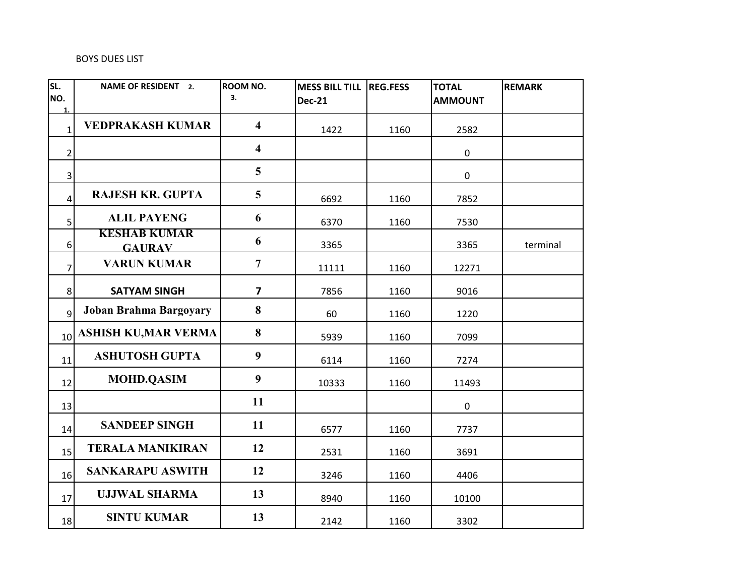## BOYS DUES LIST

| SL.                          | <b>NAME OF RESIDENT 2.</b>           | ROOM NO.                | <b>MESS BILL TILL REG.FESS</b> |      | <b>TOTAL</b>     | <b>REMARK</b> |
|------------------------------|--------------------------------------|-------------------------|--------------------------------|------|------------------|---------------|
| NO.                          |                                      | 3.                      | <b>Dec-21</b>                  |      | <b>AMMOUNT</b>   |               |
| $\mathbf{1}$<br>$\mathbf{1}$ | <b>VEDPRAKASH KUMAR</b>              | $\overline{\mathbf{4}}$ | 1422                           | 1160 | 2582             |               |
| $\overline{2}$               |                                      | 4                       |                                |      | $\boldsymbol{0}$ |               |
| $\mathsf{3}$                 |                                      | 5                       |                                |      | $\pmb{0}$        |               |
| $\overline{4}$               | <b>RAJESH KR. GUPTA</b>              | 5                       | 6692                           | 1160 | 7852             |               |
| 5                            | <b>ALIL PAYENG</b>                   | 6                       | 6370                           | 1160 | 7530             |               |
| 6                            | <b>KESHAB KUMAR</b><br><b>GAURAV</b> | 6                       | 3365                           |      | 3365             | terminal      |
| $\overline{7}$               | <b>VARUN KUMAR</b>                   | $\overline{7}$          | 11111                          | 1160 | 12271            |               |
| 8 <sup>1</sup>               | <b>SATYAM SINGH</b>                  | $\overline{7}$          | 7856                           | 1160 | 9016             |               |
| $\overline{9}$               | Joban Brahma Bargoyary               | 8                       | 60                             | 1160 | 1220             |               |
|                              | 10 ASHISH KU, MAR VERMA              | 8                       | 5939                           | 1160 | 7099             |               |
| 11                           | <b>ASHUTOSH GUPTA</b>                | 9                       | 6114                           | 1160 | 7274             |               |
| 12                           | <b>MOHD.QASIM</b>                    | 9                       | 10333                          | 1160 | 11493            |               |
| 13                           |                                      | 11                      |                                |      | $\mathsf 0$      |               |
| 14                           | <b>SANDEEP SINGH</b>                 | 11                      | 6577                           | 1160 | 7737             |               |
| 15                           | <b>TERALA MANIKIRAN</b>              | 12                      | 2531                           | 1160 | 3691             |               |
| 16                           | <b>SANKARAPU ASWITH</b>              | 12                      | 3246                           | 1160 | 4406             |               |
| 17                           | <b>UJJWAL SHARMA</b>                 | 13                      | 8940                           | 1160 | 10100            |               |
| 18                           | <b>SINTU KUMAR</b>                   | 13                      | 2142                           | 1160 | 3302             |               |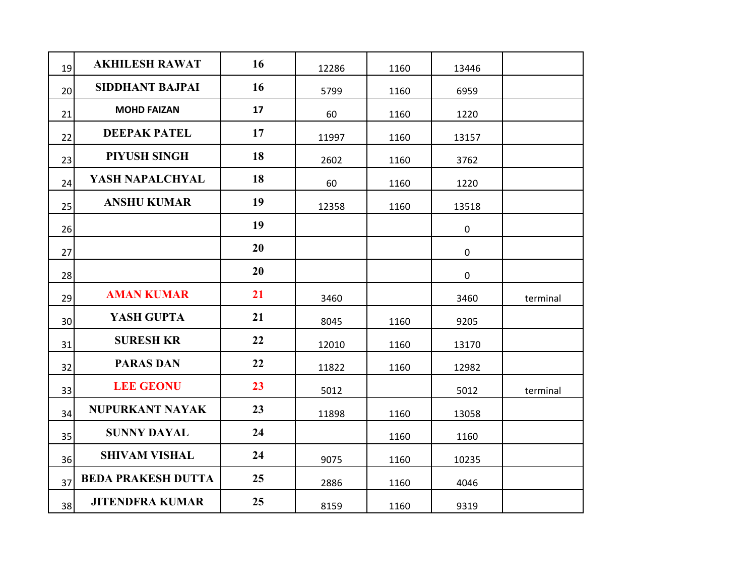| 19 | <b>AKHILESH RAWAT</b>     | 16 | 12286 | 1160 | 13446       |          |
|----|---------------------------|----|-------|------|-------------|----------|
| 20 | <b>SIDDHANT BAJPAI</b>    | 16 | 5799  | 1160 | 6959        |          |
| 21 | <b>MOHD FAIZAN</b>        | 17 | 60    | 1160 | 1220        |          |
| 22 | <b>DEEPAK PATEL</b>       | 17 | 11997 | 1160 | 13157       |          |
| 23 | PIYUSH SINGH              | 18 | 2602  | 1160 | 3762        |          |
| 24 | YASH NAPALCHYAL           | 18 | 60    | 1160 | 1220        |          |
| 25 | <b>ANSHU KUMAR</b>        | 19 | 12358 | 1160 | 13518       |          |
| 26 |                           | 19 |       |      | $\pmb{0}$   |          |
| 27 |                           | 20 |       |      | $\mathsf 0$ |          |
| 28 |                           | 20 |       |      | $\mathbf 0$ |          |
| 29 | <b>AMAN KUMAR</b>         | 21 | 3460  |      | 3460        | terminal |
| 30 | YASH GUPTA                | 21 | 8045  | 1160 | 9205        |          |
| 31 | <b>SURESH KR</b>          | 22 | 12010 | 1160 | 13170       |          |
| 32 | <b>PARAS DAN</b>          | 22 | 11822 | 1160 | 12982       |          |
| 33 | <b>LEE GEONU</b>          | 23 | 5012  |      | 5012        | terminal |
| 34 | <b>NUPURKANT NAYAK</b>    | 23 | 11898 | 1160 | 13058       |          |
| 35 | <b>SUNNY DAYAL</b>        | 24 |       | 1160 | 1160        |          |
| 36 | <b>SHIVAM VISHAL</b>      | 24 | 9075  | 1160 | 10235       |          |
| 37 | <b>BEDA PRAKESH DUTTA</b> | 25 | 2886  | 1160 | 4046        |          |
| 38 | <b>JITENDFRA KUMAR</b>    | 25 | 8159  | 1160 | 9319        |          |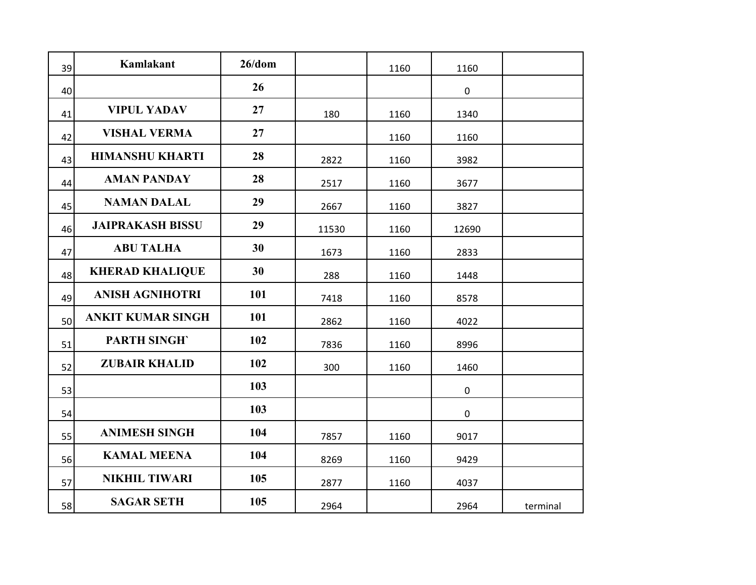| 39 | Kamlakant                | $26$ /dom |       | 1160 | 1160        |          |
|----|--------------------------|-----------|-------|------|-------------|----------|
| 40 |                          | 26        |       |      | $\pmb{0}$   |          |
| 41 | <b>VIPUL YADAV</b>       | 27        | 180   | 1160 | 1340        |          |
| 42 | <b>VISHAL VERMA</b>      | 27        |       | 1160 | 1160        |          |
| 43 | <b>HIMANSHU KHARTI</b>   | 28        | 2822  | 1160 | 3982        |          |
| 44 | <b>AMAN PANDAY</b>       | 28        | 2517  | 1160 | 3677        |          |
| 45 | <b>NAMAN DALAL</b>       | 29        | 2667  | 1160 | 3827        |          |
| 46 | <b>JAIPRAKASH BISSU</b>  | 29        | 11530 | 1160 | 12690       |          |
| 47 | <b>ABU TALHA</b>         | 30        | 1673  | 1160 | 2833        |          |
| 48 | <b>KHERAD KHALIQUE</b>   | 30        | 288   | 1160 | 1448        |          |
| 49 | <b>ANISH AGNIHOTRI</b>   | 101       | 7418  | 1160 | 8578        |          |
| 50 | <b>ANKIT KUMAR SINGH</b> | 101       | 2862  | 1160 | 4022        |          |
| 51 | <b>PARTH SINGHT</b>      | 102       | 7836  | 1160 | 8996        |          |
| 52 | <b>ZUBAIR KHALID</b>     | 102       | 300   | 1160 | 1460        |          |
| 53 |                          | 103       |       |      | $\pmb{0}$   |          |
| 54 |                          | 103       |       |      | $\mathbf 0$ |          |
| 55 | <b>ANIMESH SINGH</b>     | 104       | 7857  | 1160 | 9017        |          |
| 56 | <b>KAMAL MEENA</b>       | 104       | 8269  | 1160 | 9429        |          |
| 57 | <b>NIKHIL TIWARI</b>     | 105       | 2877  | 1160 | 4037        |          |
| 58 | <b>SAGAR SETH</b>        | 105       | 2964  |      | 2964        | terminal |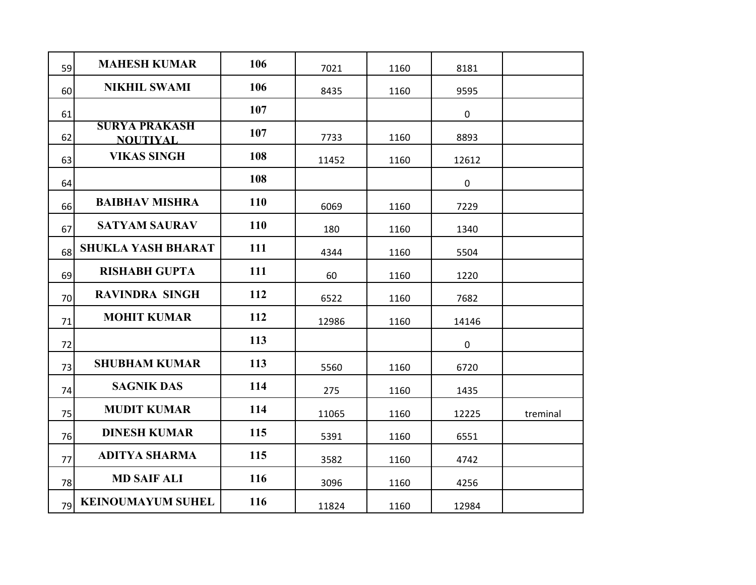| 59 | <b>MAHESH KUMAR</b>                     | 106 | 7021  | 1160 | 8181        |          |
|----|-----------------------------------------|-----|-------|------|-------------|----------|
| 60 | <b>NIKHIL SWAMI</b>                     | 106 | 8435  | 1160 | 9595        |          |
| 61 |                                         | 107 |       |      | $\mathbf 0$ |          |
| 62 | <b>SURYA PRAKASH</b><br><b>NOUTIVAL</b> | 107 | 7733  | 1160 | 8893        |          |
| 63 | <b>VIKAS SINGH</b>                      | 108 | 11452 | 1160 | 12612       |          |
| 64 |                                         | 108 |       |      | $\pmb{0}$   |          |
| 66 | <b>BAIBHAV MISHRA</b>                   | 110 | 6069  | 1160 | 7229        |          |
| 67 | <b>SATYAM SAURAV</b>                    | 110 | 180   | 1160 | 1340        |          |
| 68 | <b>SHUKLA YASH BHARAT</b>               | 111 | 4344  | 1160 | 5504        |          |
| 69 | <b>RISHABH GUPTA</b>                    | 111 | 60    | 1160 | 1220        |          |
| 70 | <b>RAVINDRA SINGH</b>                   | 112 | 6522  | 1160 | 7682        |          |
| 71 | <b>MOHIT KUMAR</b>                      | 112 | 12986 | 1160 | 14146       |          |
| 72 |                                         | 113 |       |      | $\pmb{0}$   |          |
| 73 | <b>SHUBHAM KUMAR</b>                    | 113 | 5560  | 1160 | 6720        |          |
| 74 | <b>SAGNIK DAS</b>                       | 114 | 275   | 1160 | 1435        |          |
| 75 | <b>MUDIT KUMAR</b>                      | 114 | 11065 | 1160 | 12225       | treminal |
| 76 | <b>DINESH KUMAR</b>                     | 115 | 5391  | 1160 | 6551        |          |
| 77 | <b>ADITYA SHARMA</b>                    | 115 | 3582  | 1160 | 4742        |          |
| 78 | <b>MD SAIF ALI</b>                      | 116 | 3096  | 1160 | 4256        |          |
| 79 | <b>KEINOUMAYUM SUHEL</b>                | 116 | 11824 | 1160 | 12984       |          |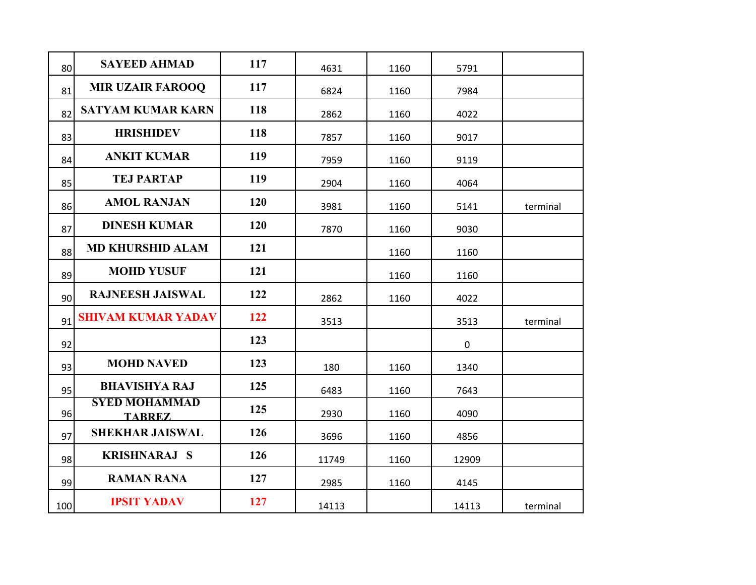| 80  | <b>SAYEED AHMAD</b>                   | 117 | 4631  | 1160 | 5791      |          |
|-----|---------------------------------------|-----|-------|------|-----------|----------|
| 81  | <b>MIR UZAIR FAROOQ</b>               | 117 | 6824  | 1160 | 7984      |          |
| 82  | <b>SATYAM KUMAR KARN</b>              | 118 | 2862  | 1160 | 4022      |          |
| 83  | <b>HRISHIDEV</b>                      | 118 | 7857  | 1160 | 9017      |          |
| 84  | <b>ANKIT KUMAR</b>                    | 119 | 7959  | 1160 | 9119      |          |
| 85  | <b>TEJ PARTAP</b>                     | 119 | 2904  | 1160 | 4064      |          |
| 86  | <b>AMOL RANJAN</b>                    | 120 | 3981  | 1160 | 5141      | terminal |
| 87  | <b>DINESH KUMAR</b>                   | 120 | 7870  | 1160 | 9030      |          |
| 88  | <b>MD KHURSHID ALAM</b>               | 121 |       | 1160 | 1160      |          |
| 89  | <b>MOHD YUSUF</b>                     | 121 |       | 1160 | 1160      |          |
| 90  | <b>RAJNEESH JAISWAL</b>               | 122 | 2862  | 1160 | 4022      |          |
| 91  | <b>SHIVAM KUMAR YADAV</b>             | 122 | 3513  |      | 3513      | terminal |
| 92  |                                       | 123 |       |      | $\pmb{0}$ |          |
| 93  | <b>MOHD NAVED</b>                     | 123 | 180   | 1160 | 1340      |          |
| 95  | <b>BHAVISHYA RAJ</b>                  | 125 | 6483  | 1160 | 7643      |          |
| 96  | <b>SYED MOHAMMAD</b><br><b>TABREZ</b> | 125 | 2930  | 1160 | 4090      |          |
| 97  | <b>SHEKHAR JAISWAL</b>                | 126 | 3696  | 1160 | 4856      |          |
| 98  | <b>KRISHNARAJ S</b>                   | 126 | 11749 | 1160 | 12909     |          |
| 99  | <b>RAMAN RANA</b>                     | 127 | 2985  | 1160 | 4145      |          |
| 100 | <b>IPSIT YADAV</b>                    | 127 | 14113 |      | 14113     | terminal |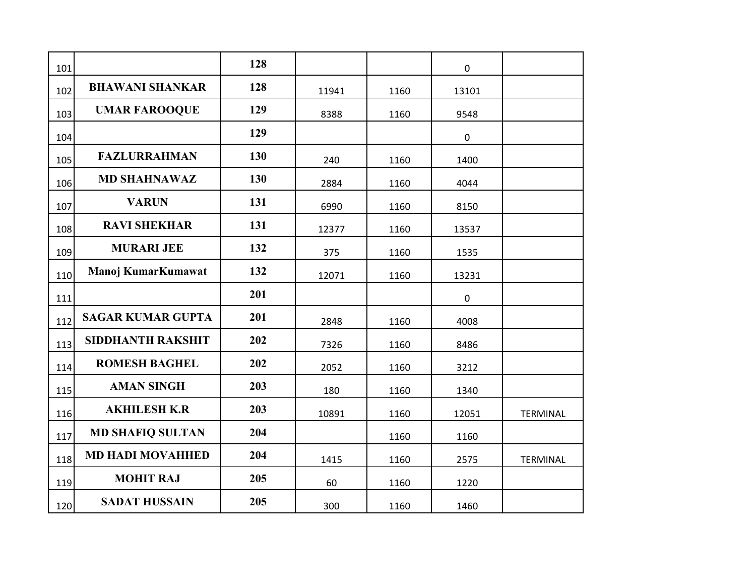| 101 |                          | 128 |       |      | 0                |                 |
|-----|--------------------------|-----|-------|------|------------------|-----------------|
| 102 | <b>BHAWANI SHANKAR</b>   | 128 | 11941 | 1160 | 13101            |                 |
| 103 | <b>UMAR FAROOQUE</b>     | 129 | 8388  | 1160 | 9548             |                 |
| 104 |                          | 129 |       |      | $\pmb{0}$        |                 |
| 105 | <b>FAZLURRAHMAN</b>      | 130 | 240   | 1160 | 1400             |                 |
| 106 | <b>MD SHAHNAWAZ</b>      | 130 | 2884  | 1160 | 4044             |                 |
| 107 | <b>VARUN</b>             | 131 | 6990  | 1160 | 8150             |                 |
| 108 | <b>RAVI SHEKHAR</b>      | 131 | 12377 | 1160 | 13537            |                 |
| 109 | <b>MURARI JEE</b>        | 132 | 375   | 1160 | 1535             |                 |
| 110 | Manoj KumarKumawat       | 132 | 12071 | 1160 | 13231            |                 |
| 111 |                          | 201 |       |      | $\boldsymbol{0}$ |                 |
| 112 | <b>SAGAR KUMAR GUPTA</b> | 201 | 2848  | 1160 | 4008             |                 |
| 113 | <b>SIDDHANTH RAKSHIT</b> | 202 | 7326  | 1160 | 8486             |                 |
| 114 | <b>ROMESH BAGHEL</b>     | 202 | 2052  | 1160 | 3212             |                 |
| 115 | <b>AMAN SINGH</b>        | 203 | 180   | 1160 | 1340             |                 |
| 116 | <b>AKHILESH K.R</b>      | 203 | 10891 | 1160 | 12051            | <b>TERMINAL</b> |
| 117 | <b>MD SHAFIQ SULTAN</b>  | 204 |       | 1160 | 1160             |                 |
| 118 | <b>MD HADI MOVAHHED</b>  | 204 | 1415  | 1160 | 2575             | <b>TERMINAL</b> |
| 119 | <b>MOHIT RAJ</b>         | 205 | 60    | 1160 | 1220             |                 |
| 120 | <b>SADAT HUSSAIN</b>     | 205 | 300   | 1160 | 1460             |                 |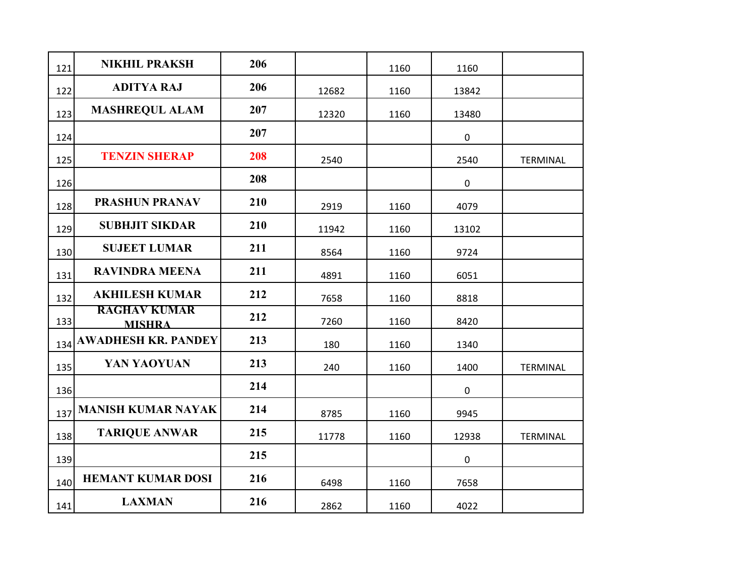| 121 | <b>NIKHIL PRAKSH</b>                 | 206 |       | 1160 | 1160        |                 |
|-----|--------------------------------------|-----|-------|------|-------------|-----------------|
| 122 | <b>ADITYA RAJ</b>                    | 206 | 12682 | 1160 | 13842       |                 |
| 123 | <b>MASHREQUL ALAM</b>                | 207 | 12320 | 1160 | 13480       |                 |
| 124 |                                      | 207 |       |      | $\pmb{0}$   |                 |
| 125 | <b>TENZIN SHERAP</b>                 | 208 | 2540  |      | 2540        | <b>TERMINAL</b> |
| 126 |                                      | 208 |       |      | $\pmb{0}$   |                 |
| 128 | <b>PRASHUN PRANAV</b>                | 210 | 2919  | 1160 | 4079        |                 |
| 129 | <b>SUBHJIT SIKDAR</b>                | 210 | 11942 | 1160 | 13102       |                 |
| 130 | <b>SUJEET LUMAR</b>                  | 211 | 8564  | 1160 | 9724        |                 |
| 131 | <b>RAVINDRA MEENA</b>                | 211 | 4891  | 1160 | 6051        |                 |
| 132 | <b>AKHILESH KUMAR</b>                | 212 | 7658  | 1160 | 8818        |                 |
| 133 | <b>RAGHAV KUMAR</b><br><b>MISHRA</b> | 212 | 7260  | 1160 | 8420        |                 |
| 134 | <b>AWADHESH KR. PANDEY</b>           | 213 | 180   | 1160 | 1340        |                 |
| 135 | YAN YAOYUAN                          | 213 | 240   | 1160 | 1400        | <b>TERMINAL</b> |
| 136 |                                      | 214 |       |      | $\mathbf 0$ |                 |
| 137 | <b>MANISH KUMAR NAYAK</b>            | 214 | 8785  | 1160 | 9945        |                 |
| 138 | <b>TARIQUE ANWAR</b>                 | 215 | 11778 | 1160 | 12938       | <b>TERMINAL</b> |
| 139 |                                      | 215 |       |      | $\mathbf 0$ |                 |
| 140 | <b>HEMANT KUMAR DOSI</b>             | 216 | 6498  | 1160 | 7658        |                 |
| 141 | <b>LAXMAN</b>                        | 216 | 2862  | 1160 | 4022        |                 |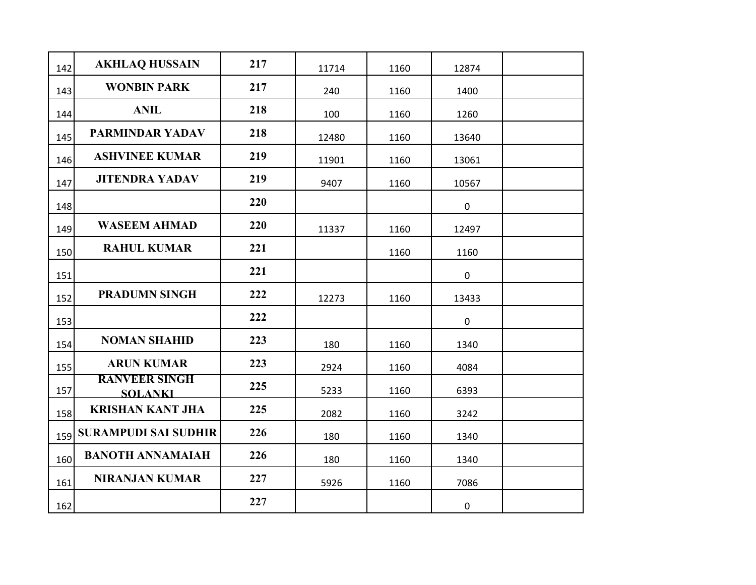| 142 | <b>AKHLAQ HUSSAIN</b>                  | 217 | 11714 | 1160 | 12874     |  |
|-----|----------------------------------------|-----|-------|------|-----------|--|
| 143 | <b>WONBIN PARK</b>                     | 217 | 240   | 1160 | 1400      |  |
| 144 | <b>ANIL</b>                            | 218 | 100   | 1160 | 1260      |  |
| 145 | <b>PARMINDAR YADAV</b>                 | 218 | 12480 | 1160 | 13640     |  |
| 146 | <b>ASHVINEE KUMAR</b>                  | 219 | 11901 | 1160 | 13061     |  |
| 147 | <b>JITENDRA YADAV</b>                  | 219 | 9407  | 1160 | 10567     |  |
| 148 |                                        | 220 |       |      | $\pmb{0}$ |  |
| 149 | <b>WASEEM AHMAD</b>                    | 220 | 11337 | 1160 | 12497     |  |
| 150 | <b>RAHUL KUMAR</b>                     | 221 |       | 1160 | 1160      |  |
| 151 |                                        | 221 |       |      | $\pmb{0}$ |  |
| 152 | <b>PRADUMN SINGH</b>                   | 222 | 12273 | 1160 | 13433     |  |
| 153 |                                        | 222 |       |      | $\pmb{0}$ |  |
| 154 | <b>NOMAN SHAHID</b>                    | 223 | 180   | 1160 | 1340      |  |
| 155 | <b>ARUN KUMAR</b>                      | 223 | 2924  | 1160 | 4084      |  |
| 157 | <b>RANVEER SINGH</b><br><b>SOLANKL</b> | 225 | 5233  | 1160 | 6393      |  |
| 158 | <b>KRISHAN KANT JHA</b>                | 225 | 2082  | 1160 | 3242      |  |
| 159 | <b>SURAMPUDI SAI SUDHIR</b>            | 226 | 180   | 1160 | 1340      |  |
| 160 | <b>BANOTH ANNAMAIAH</b>                | 226 | 180   | 1160 | 1340      |  |
| 161 | <b>NIRANJAN KUMAR</b>                  | 227 | 5926  | 1160 | 7086      |  |
| 162 |                                        | 227 |       |      | $\pmb{0}$ |  |